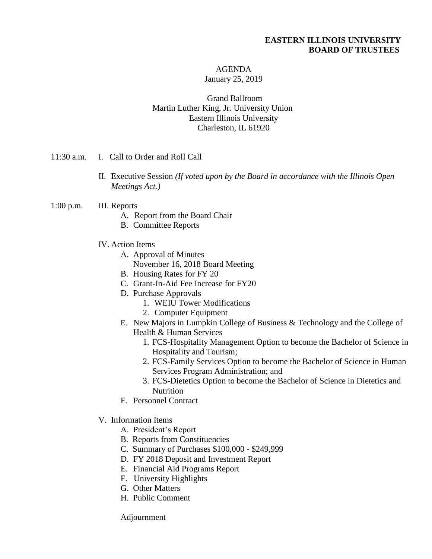### **EASTERN ILLINOIS UNIVERSITY BOARD OF TRUSTEES**

#### AGENDA January 25, 2019

Grand Ballroom Martin Luther King, Jr. University Union Eastern Illinois University Charleston, IL 61920

- 11:30 a.m. I. Call to Order and Roll Call
	- II. Executive Session *(If voted upon by the Board in accordance with the Illinois Open Meetings Act.)*
- 1:00 p.m. III. Reports
	- A. Report from the Board Chair
	- B. Committee Reports
	- IV. Action Items
		- A. Approval of Minutes November 16, 2018 Board Meeting
			-
		- B. Housing Rates for FY 20
		- C. Grant-In-Aid Fee Increase for FY20
		- D. Purchase Approvals
			- 1. WEIU Tower Modifications
			- 2. Computer Equipment
		- E. New Majors in Lumpkin College of Business & Technology and the College of Health & Human Services
			- 1. FCS-Hospitality Management Option to become the Bachelor of Science in Hospitality and Tourism;
			- 2. FCS-Family Services Option to become the Bachelor of Science in Human Services Program Administration; and
			- 3. FCS-Dietetics Option to become the Bachelor of Science in Dietetics and Nutrition
		- F. Personnel Contract
	- V. Information Items
		- A. President's Report
		- B. Reports from Constituencies
		- C. Summary of Purchases \$100,000 \$249,999
		- D. FY 2018 Deposit and Investment Report
		- E. Financial Aid Programs Report
		- F. University Highlights
		- G. Other Matters
		- H. Public Comment

Adjournment